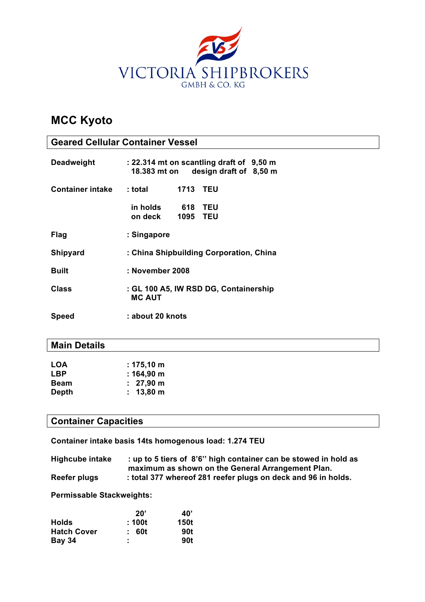

# **MCC Kyoto**

| <b>Geared Cellular Container Vessel</b> |                                                                                     |  |
|-----------------------------------------|-------------------------------------------------------------------------------------|--|
| Deadweight                              | $: 22.314$ mt on scantling draft of $9,50$ m<br>18.383 mt on design draft of 8,50 m |  |
| <b>Container intake</b>                 | : total<br>1713<br><b>TEU</b>                                                       |  |
|                                         | in holds<br><b>TEU</b><br>618<br><b>1095 TEU</b><br>on deck                         |  |
| <b>Flag</b>                             | : Singapore                                                                         |  |
| <b>Shipyard</b>                         | : China Shipbuilding Corporation, China                                             |  |
| <b>Built</b>                            | : November 2008                                                                     |  |
| <b>Class</b>                            | : GL 100 A5, IW RSD DG, Containership<br><b>MC AUT</b>                              |  |
| <b>Speed</b>                            | : about 20 knots                                                                    |  |

## **Main Details**

| <b>LOA</b>   | $: 175, 10 \text{ m}$ |
|--------------|-----------------------|
| <b>LBP</b>   | $: 164,90 \; m$       |
| <b>Beam</b>  | $: 27,90 \; m$        |
| <b>Depth</b> | $: 13,80 \; \text{m}$ |

# **Container Capacities**

**Container intake basis 14ts homogenous load: 1.274 TEU**

**Highcube intake : up to 5 tiers of 8'6'' high container can be stowed in hold as maximum as shown on the General Arrangement Plan. Reefer plugs : total 377 whereof 281 reefer plugs on deck and 96 in holds.**

**Permissable Stackweights:**

|                    | 20'    | 40'  |
|--------------------|--------|------|
| <b>Holds</b>       | : 100t | 150t |
| <b>Hatch Cover</b> | : 60t  | 90t  |
| <b>Bay 34</b>      | ÷      | 90t  |